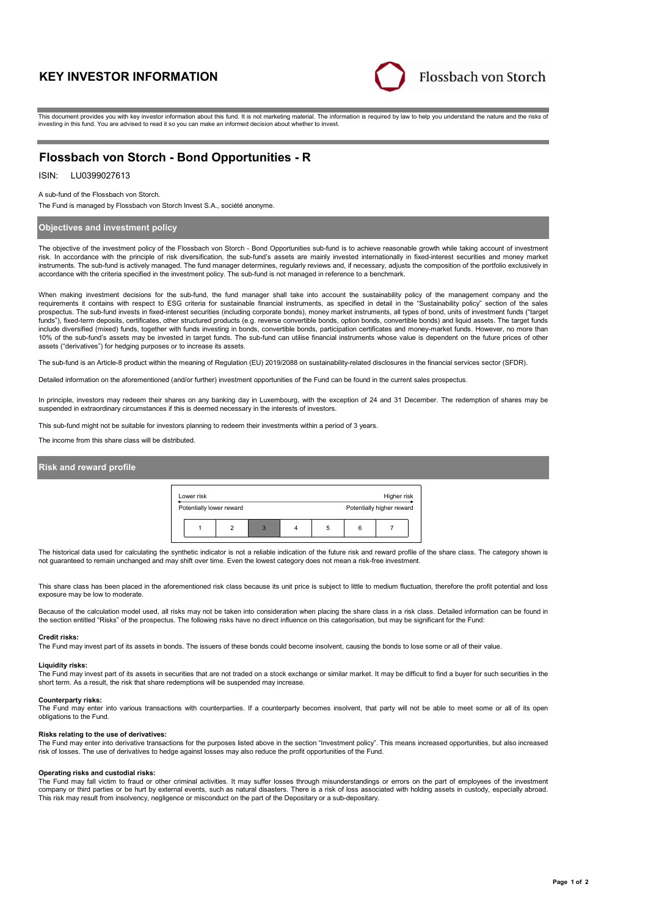# **KEY INVESTOR INFORMATION**



This document provides you with key investor information about this fund. It is not marketing material. The information is required by law to help you understand the nature and the risks of investing in this fund. You are advised to read it so you can make an informed decision about whether to invest.

# **Flossbach von Storch - Bond Opportunities - R**

## ISIN: LU0399027613

A sub-fund of the Flossbach von Storch.

The Fund is managed by Flossbach von Storch Invest S.A., société anonyme.

## **Objectives and investment policy**

The objective of the investment policy of the Flossbach von Storch - Bond Opportunities sub-fund is to achieve reasonable growth while taking account of investment risk. In accordance with the principle of risk diversification, the sub-fund's assets are mainly invested internationally in fixed-interest securities and money market instruments. The sub-fund is actively managed. The fund manager determines, regularly reviews and, if necessary, adjusts the composition of the portfolio exclusively in accordance with the criteria specified in the investment policy. The sub-fund is not managed in reference to a benchmark.

When making investment decisions for the sub-fund, the fund manager shall take into account the sustainability policy of the management company and the requirements it contains with respect to ESG criteria for sustainable financial instruments, as specified in detail in the "Sustainability policy" section of the sales prospectus. The sub-fund invests in fixed-interest securities (including corporate bonds), money market instruments, all types of bond, units of investment funds ("target funds"), fixed-term deposits, certificates, other structured products (e.g. reverse convertible bonds, option bonds, convertible bonds) and liquid assets. The target funds include diversified (mixed) funds, together with funds investing in bonds, convertible bonds, participation certificates and money-market funds. However, no more than<br>10% of the sub-fund's assets may be invested in target assets ("derivatives") for hedging purposes or to increase its assets.

The sub-fund is an Article-8 product within the meaning of Regulation (EU) 2019/2088 on sustainability-related disclosures in the financial services sector (SFDR).

Detailed information on the aforementioned (and/or further) investment opportunities of the Fund can be found in the current sales prospectus.

In principle, investors may redeem their shares on any banking day in Luxembourg, with the exception of 24 and 31 December. The redemption of shares may be suspended in extraordinary circumstances if this is deemed necessary in the interests of investors.

This sub-fund might not be suitable for investors planning to redeem their investments within a period of 3 years.

The income from this share class will be distributed.

#### **Risk and reward profile**



The historical data used for calculating the synthetic indicator is not a reliable indication of the future risk and reward profile of the share class. The category shown is not guaranteed to remain unchanged and may shift over time. Even the lowest category does not mean a risk-free investment.

This share class has been placed in the aforementioned risk class because its unit price is subject to little to medium fluctuation, therefore the profit potential and loss exposure may be low to moderate.

Because of the calculation model used, all risks may not be taken into consideration when placing the share class in a risk class. Detailed information can be found in the section entitled "Risks" of the prospectus. The following risks have no direct influence on this categorisation, but may be significant for the Fund:

#### **Credit risks:**

The Fund may invest part of its assets in bonds. The issuers of these bonds could become insolvent, causing the bonds to lose some or all of their value.

### **Liquidity risks:**

The Fund may invest part of its assets in securities that are not traded on a stock exchange or similar market. It may be difficult to find a buyer for such securities in the short term. As a result, the risk that share redemptions will be suspended may increase.

#### **Counterparty risks:**

The Fund may enter into various transactions with counterparties. If a counterparty becomes insolvent, that party will not be able to meet some or all of its open obligations to the Fund.

#### **Risks relating to the use of derivatives:**

The Fund may enter into derivative transactions for the purposes listed above in the section "Investment policy". This means increased opportunities, but also increased risk of losses. The use of derivatives to hedge against losses may also reduce the profit opportunities of the Fund.

#### **Operating risks and custodial risks:**

The Fund may fall victim to fraud or other criminal activities. It may suffer losses through misunderstandings or errors on the part of employees of the investment company or third parties or be hurt by external events, such as natural disasters. There is a risk of loss associated with holding assets in custody, especially abroad. This risk may result from insolvency, negligence or misconduct on the part of the Depositary or a sub-depositary.